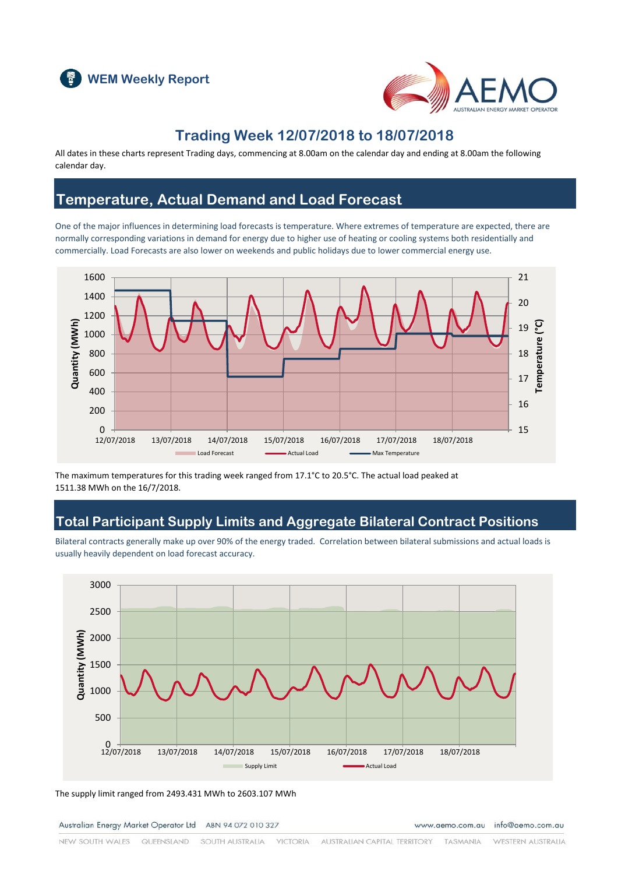



## **Trading Week 12/07/2018 to 18/07/2018**

All dates in these charts represent Trading days, commencing at 8.00am on the calendar day and ending at 8.00am the following calendar day.

## **Temperature, Actual Demand and Load Forecast**

One of the major influences in determining load forecasts is temperature. Where extremes of temperature are expected, there are normally corresponding variations in demand for energy due to higher use of heating or cooling systems both residentially and commercially. Load Forecasts are also lower on weekends and public holidays due to lower commercial energy use.



The maximum temperatures for this trading week ranged from 17.1°C to 20.5°C. The actual load peaked at 1511.38 MWh on the 16/7/2018.

## **Total Participant Supply Limits and Aggregate Bilateral Contract Positions**

Bilateral contracts generally make up over 90% of the energy traded. Correlation between bilateral submissions and actual loads is usually heavily dependent on load forecast accuracy.



The supply limit ranged from 2493.431 MWh to 2603.107 MWh

Australian Energy Market Operator Ltd ABN 94 072 010 327

www.aemo.com.au info@aemo.com.au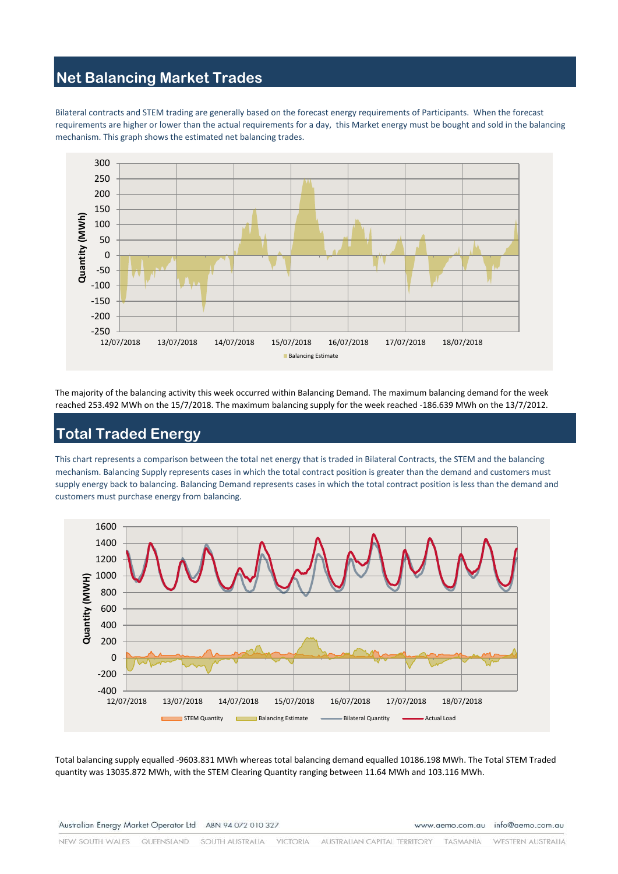## **Net Balancing Market Trades**

Bilateral contracts and STEM trading are generally based on the forecast energy requirements of Participants. When the forecast requirements are higher or lower than the actual requirements for a day, this Market energy must be bought and sold in the balancing mechanism. This graph shows the estimated net balancing trades.



The majority of the balancing activity this week occurred within Balancing Demand. The maximum balancing demand for the week reached 253.492 MWh on the 15/7/2018. The maximum balancing supply for the week reached -186.639 MWh on the 13/7/2012.

# **Total Traded Energy**

This chart represents a comparison between the total net energy that is traded in Bilateral Contracts, the STEM and the balancing mechanism. Balancing Supply represents cases in which the total contract position is greater than the demand and customers must supply energy back to balancing. Balancing Demand represents cases in which the total contract position is less than the demand and customers must purchase energy from balancing.



Total balancing supply equalled -9603.831 MWh whereas total balancing demand equalled 10186.198 MWh. The Total STEM Traded quantity was 13035.872 MWh, with the STEM Clearing Quantity ranging between 11.64 MWh and 103.116 MWh.

Australian Energy Market Operator Ltd ABN 94 072 010 327

www.aemo.com.au info@aemo.com.au